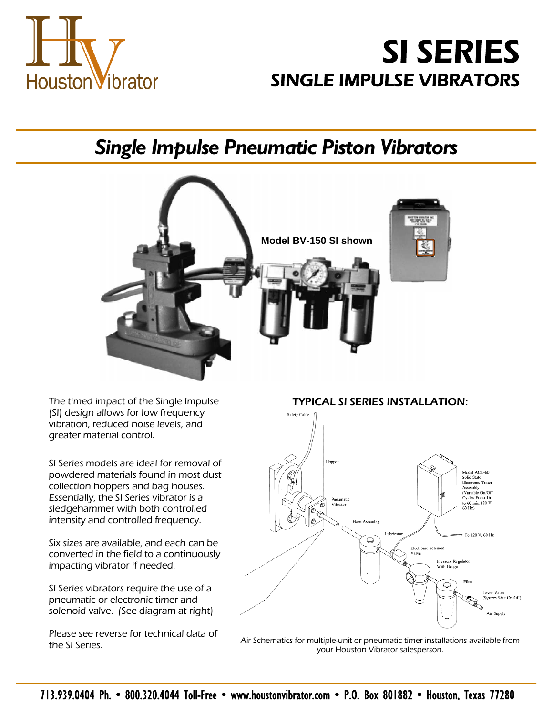

# **SI SERIES SINGLE IMPULSE VIBRATORS**

## *Single Impulse Pneumatic Piston Vibrators*



(SI) design allows for low frequency vibration, reduced noise levels, and greater material control.

SI Series models are ideal for removal of powdered materials found in most dust collection hoppers and bag houses. Essentially, the SI Series vibrator is a sledgehammer with both controlled intensity and controlled frequency.

Six sizes are available, and each can be converted in the field to a continuously impacting vibrator if needed.

SI Series vibrators require the use of a pneumatic or electronic timer and solenoid valve. (See diagram at right)

Please see reverse for technical data of

The timed impact of the Single Impulse TYPICAL SI SERIES INSTALLATION:



the SI Series.<br>The SI Series. Air Schematics for multiple-unit or pneumatic timer installations available from your Houston Vibrator salesperson.